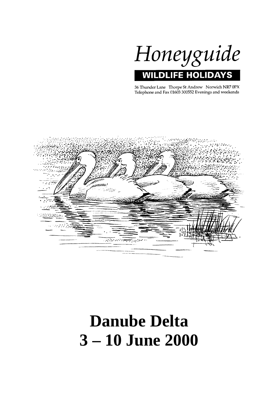

36 Thunder Lane Thorpe St Andrew Norwich NR7 0PX Telephone and Fax 01603 300552 Evenings and weekends



# **Danube Delta 3 – 10 June 2000**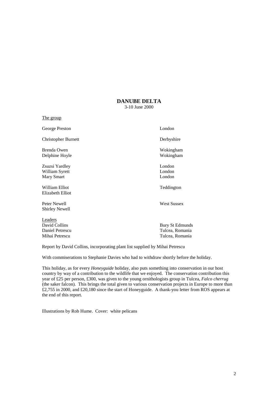# **DANUBE DELTA**

3-10 June 2000

The group

George Preston London

Christopher Burnett Derbyshire

Brenda Owen Wokingham Delphine Hoyle Wokingham

Zsuzsi Yardley London William Syrett London Mary Smart London

William Elliot Teddington Elizabeth Elliot

Peter Newell West Sussex Shirley Newell

Leaders Mihai Petrescu Tulcea, Romania

David Collins Bury St Edmunds Daniel Petrescu Tulcea, Romania

Report by David Collins, incorporating plant list supplied by Mihai Petrescu

With commiserations to Stephanie Davies who had to withdraw shortly before the holiday.

This holiday, as for every *Honeyguide* holiday, also puts something into conservation in our host country by way of a contribution to the wildlife that we enjoyed. The conservation contribution this year of £25 per person, £300, was given to the young ornithologists group in Tulcea, *Falco cherrug* (the saker falcon). This brings the total given to various conservation projects in Europe to more than £2,755 in 2000, and £20,180 since the start of Honeyguide. A thank-you letter from ROS appears at the end of this report.

Illustrations by Rob Hume. Cover: white pelicans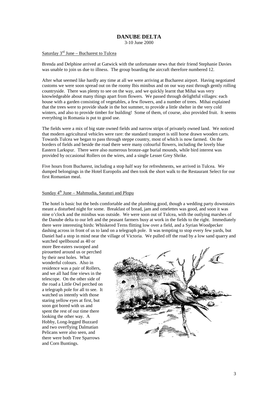# **DANUBE DELTA**

3-10 June 2000

# Saturday  $3<sup>rd</sup>$  June – Bucharest to Tulcea

Brenda and Delphine arrived at Gatwick with the unfortunate news that their friend Stephanie Davies was unable to join us due to illness. The group boarding the aircraft therefore numbered 12.

After what seemed like hardly any time at all we were arriving at Bucharest airport. Having negotiated customs we were soon spread out on the roomy Ibis minibus and on our way east through gently rolling countryside. There was plenty to see on the way, and we quickly learnt that Mihai was very knowledgeable about many things apart from flowers. We passed through delightful villages: each house with a garden consisting of vegetables, a few flowers, and a number of trees. Mihai explained that the trees were to provide shade in the hot summer, to provide a little shelter in the very cold winters, and also to provide timber for building! Some of them, of course, also provided fruit. It seems everything in Romania is put to good use.

The fields were a mix of big state owned fields and narrow strips of privately owned land. We noticed that modern agricultural vehicles were rare: the standard transport is still horse drawn wooden carts. Towards Tulcea we began to pass through steppe country, most of which is now farmed. On the borders of fields and beside the road there were many colourful flowers, including the lovely blue Eastern Larkspur. There were also numerous bronze-age burial mounds, while bird interest was provided by occasional Rollers on the wires, and a single Lesser Grey Shrike.

Five hours from Bucharest, including a stop half way for refreshments, we arrived in Tulcea. We dumped belongings in the Hotel Europolis and then took the short walk to the Restaurant Select for our first Romanian meal.

# Sunday  $4<sup>th</sup>$  June – Mahmudia, Saraturi and Plopu

The hotel is basic but the beds comfortable and the plumbing good, though a wedding party downstairs meant a disturbed night for some. Breakfast of bread, jam and omelettes was good, and soon it was nine o'clock and the minibus was outside. We were soon out of Tulcea, with the outlying marshes of the Danube delta to our left and the peasant farmers busy at work in the fields to the right. Immediately there were interesting birds: Whiskered Terns flitting low over a field, and a Syrian Woodpecker dashing across in front of us to land on a telegraph pole. It was tempting to stop every few yards, but Daniel had a stop in mind near the village of Victoria. We pulled off the road by a low sand quarry and

watched spellbound as 40 or more Bee-eaters swooped and pirouetted around us or perched by their nest holes. What wonderful colours. Also in residence was a pair of Rollers, and we all had fine views in the telescope. On the other side of the road a Little Owl perched on a telegraph pole for all to see. It watched us intently with those staring yellow eyes at first, but soon got bored with us and spent the rest of our time there looking the other way. A Hobby, Long-legged Buzzard and two overflying Dalmatian Pelicans were also seen, and there were both Tree Sparrows and Corn Buntings.

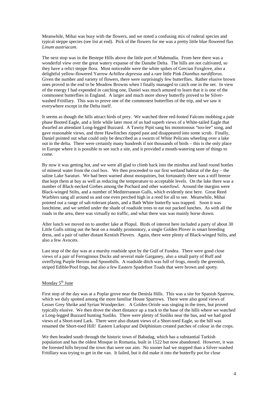Meanwhile, Mihai was busy with the flowers, and we noted a confusing mix of ruderal species and typical steppe species (see list at end). Pick of the flowers for me was a pretty little blue flowered flax *Linum austriacum*.

The next stop was in the Bestepe Hills above the little port of Mahmudia. From here there was a wonderful view over the great watery expanse of the Danube Delta. The hills are not cultivated, so they have a relict steppe flora. Most noticeable were the white spikes of Grecian Foxglove, also a delightful yellow-flowered Yarrow *Achillea depressa* and a rare little Pink *Dianthus nardiflorus*. Given the number and variety of flowers, there were surprisingly few butterflies. Rather elusive brown ones proved in the end to be Meadow Browns when I finally managed to catch one in the net. In view of the energy I had expended in catching one, Daniel was much amused to learn that it is one of the commonest butterflies in England. A larger and much more showy butterfly proved to be Silverwashed Fritillary. This was to prove one of the commonest butterflies of the trip, and we saw it everywhere except in the Delta itself.

It seems as though the hills attract birds of prey. We watched three red-footed Falcons mobbing a pale phase Booted Eagle, and a little while later most of us had superb views of a White-tailed Eagle that dwarfed an attendant Long-legged Buzzard. A Tawny Pipit sang his monotonous "too-lee" song, and gave reasonable views, and three Hawfinches zipped past and disappeared into some scrub. Finally, Daniel pointed out what could only be described as a swarm of White Pelicans wheeling over a lake out in the delta. There were certainly many hundreds if not thousands of birds – this is the only place in Europe where it is possible to see such a site, and it provided a mouth-watering taste of things to come.

By now it was getting hot, and we were all glad to climb back into the minibus and hand round bottles of mineral water from the cool box. We then proceeded to our first wetland habitat of the day – the saline Lake Saraturi. We had been warned about mosquitoes, but fortunately there was a stiff breeze that kept them at bay as well as reducing the temperature to acceptable levels. On the lake there was a number of Black-necked Grebes among the Pochard and other waterfowl. Around the margins were Black-winged Stilts, and a number of Mediterranean Gulls, which evidently nest here. Great Reed Warblers sang all around us and one even perched high in a reed for all to see. Meanwhile, Mihai pointed out a range of salt-tolerant plants, and a Bath White butterfly was trapped. Soon it was lunchtime, and we settled under the shade of roadside trees to eat our packed lunches. As with all the roads in the area, there was virtually no traffic, and what there was was mainly horse drawn.

After lunch we moved on to another lake at Plopul. Birds of interest here included a party of about 30 Little Gulls sitting out the heat on a muddy promontory, a single Golden Plover in smart breeding dress, and a pair of rather distant Kentish Plovers. Again, there were plenty of Black-winged Stilts, and also a few Avocets.

Last stop of the day was at a marshy roadside spot by the Gulf of Fundea. There were good close views of a pair of Ferruginous Ducks and several male Garganey, also a small party of Ruff and overflying Purple Herons and Spoonbills. A roadside ditch was full of frogs, mostly the greenish, striped Edible/Pool frogs, but also a few Eastern Spadefoot Toads that were brown and spotty.

# Monday  $5<sup>th</sup>$  June

First stop of the day was at a Poplar grove near the Denisla Hills. This was a site for Spanish Sparrow, which we duly spotted among the more familiar House Sparrows. There were also good views of Lesser Grey Shrike and Syrian Woodpecker. A Golden Oriole was singing in the trees, but proved typically elusive. We then drove the short distance up a track to the base of the hills where we watched a Long-legged Buzzard hunting Susliks. There were plenty of Susliks near the bus, and we had good views of a Short-toed Lark. There were also distant views of a Short-toed Eagle, so the hill was renamed the Short-toed Hill! Eastern Larkspur and Delphinium created patches of colour in the crops.

We then headed south through the historic town of Babadag, which has a substantial Turkish population and has the oldest Mosque in Romania, built in 1522 but now abandoned. However, it was the forested hills beyond the town that were our aim. No sooner had we stopped than a Silver-washed Fritillary was trying to get in the van. It failed, but it did make it into the butterfly pot for close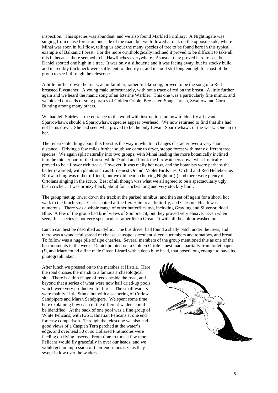inspection. This species was abundant, and we also found Marbled Fritillary. A Nightingale was singing from dense forest on one side of the road, but we followed a track on the opposite side, where Mihai was soon in full flow, telling us about the many species of tree to be found here in this typical example of Balkanic Forest. For the more ornithologically inclined it proved to be difficult to take all this in because there seemed to be Hawfinches everywhere. As usual they proved hard to see, but Daniel spotted one high in a tree. It was only a silhouette and it was facing away, but its stocky build and incredibly thick neck were sufficient to identify it, and it stood still long enough for most of the group to see it through the telescope.

A little further down the track, an unfamiliar, rather tit-like song, proved to be the song of a Redbreasted Flycatcher. A young male unfortunately, with not a trace of red on the breast. A little further again and we heard the manic song of an Icterine Warbler. This one was a particularly fine mimic, and we picked out calls or song phrases of Golden Oriole, Bee-eater, Song Thrush, Swallow and Corn Bunting among many others.

We had left Shirley at the entrance to the wood with instructions on how to identify a Levant Sparrowhawk should a Sparrowhawk species appear overhead. We now returned to find that she had not let us down. She had seen what proved to be the only Levant Sparrowhawk of the week. One up to her.

The remarkable thing about this forest is the way in which it changes character over a very short distance. Driving a few miles further south we came to dryer, steppe forest with many different tree species. We again split naturally into two groups, with Mihai leading the more botanically inclined into the thicker part of the forest, while Daniel and I took the birdwatchers down what ironically proved to be a flower rich track. However, it was really hot now, and the botanists were perhaps the better rewarded, with plants such as Birds-nest Orchid, Violet Birds-nest Orchid and Red Helleborine. Birdwatching was rather difficult, but we did hear a churring Nightjar (!) and there were plenty of Ortolans singing in the scrub. Best of all though was what we all agreed to be a spectacularly ugly bush cricket. It was bronzy-black; about four inches long and very stockily built.

The group met up lower down the track at the parked minibus, and then set off again for a short, hot walk to the lunch-stop. Chris spotted a fine Ilex Hairstreak butterfly, and Chestnut Heath was numerous. There was a whole range of other butterflies too, including Grayling and Silver-studded Blue. A few of the group had brief views of Sombre Tit, but they proved very elusive. Even when seen, this species is not very spectacular: rather like a Great Tit with all the colour washed out.

Lunch can best be described as idyllic. The bus driver had found a shady patch under the trees, and there was a wonderful spread of cheese, sausage, succulent sliced cucumbers and tomatoes, and bread. To follow was a huge pile of ripe cherries. Several members of the group mentioned this as one of the best moments in the week. Daniel pointed out a Golden Oriole's nest made partially from toilet paper (!), and Mary found a fine male Green Lizard with a deep blue head, that posed long enough to have its photograph taken.

After lunch we pressed on to the marshes at Histria. Here the road crosses the marsh to a famous archaeological site. There is a thin fringe of reeds beside the road, and beyond that a series of what were now half dried-up pools which were very productive for birds. The small waders were mainly Little Stints, but with a scattering of Curlew Sandpipers and Marsh Sandpipers. We spent some time here explaining how each of the different waders could be identified. At the back of one pool was a fine group of White Pelicans, with two Dalmatian Pelicans at one end for easy comparison. Through the telescope we also had good views of a Caspian Tern perched at the water's edge, and overhead 30 or so Collared Pratincoles were feeding on flying insects. From time to time a few more Pelicans would fly gracefully in over our heads, and we would get an impression of their enormous size as they swept in low over the waders.

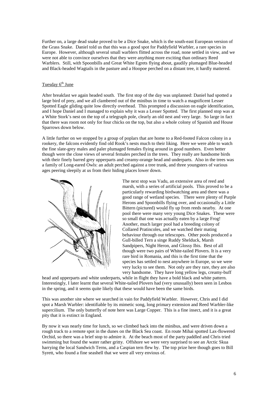Further on, a large dead snake proved to be a Dice Snake, which is the south-east European version of the Grass Snake. Daniel told us that this was a good spot for Paddyfield Warbler, a rare species in Europe. However, although several small warblers flitted across the road, none settled in view, and we were not able to convince ourselves that they were anything more exciting than ordinary Reed Warblers. Still, with Spoonbills and Great White Egrets flying about, gaudily plumaged Blue-headed and Black-headed Wagtails in the pasture and a Hoopoe perched on a distant tree, it hardly mattered.

# Tuesday 6<sup>th</sup> June

After breakfast we again headed south. The first stop of the day was unplanned: Daniel had spotted a large bird of prey, and we all clambered out of the minibus in time to watch a magnificent Lesser Spotted Eagle gliding quite low directly overhead. This prompted a discussion on eagle identification, and I hope Daniel and I managed to explain why it was a Lesser Spotted. The first planned stop was at a White Stork's nest on the top of a telegraph pole, clearly an old nest and very large. So large in fact that there was room not only for four chicks on the top, but also a whole colony of Spanish and House Sparrows down below.

A little further on we stopped by a group of poplars that are home to a Red-footed Falcon colony in a rookery, the falcons evidently find old Rook's nests much to their liking. Here we were able to watch the fine slate-grey males and paler plumaged females flying around in good numbers. Even better though were the close views of several females perched in the trees. They really are handsome birds with their finely barred grey upperparts and creamy-orange head and underparts. Also in the trees was a family of Long-eared Owls: an adult perched against a tree trunk, and three youngsters of various ages peering sleepily at us from their hiding places lower down.



The next stop was Vadu, an extensive area of reed and marsh, with a series of artificial pools. This proved to be a particularly rewarding birdwatching area and there was a good range of wetland species. There were plenty of Purple Herons and Spoonbills flying over, and occasionally a Little Bittern (pictured) would fly up from reeds nearby. At one pool there were many very young Dice Snakes. These were so small that one was actually eaten by a large Frog! Another, much larger pool had a breeding colony of Collared Pratincoles, and we watched their mating behaviour through our telescopes. Other pools produced a Gull-billed Tern a singe Ruddy Shelduck, Marsh Sandpipers, Night Heron, and Glossy Ibis. Best of all though were two pairs of White-tailed Plovers. It is a very rare bird in Romania, and this is the first time that the species has settled to nest anywhere in Europe, so we were very lucky to see them. Not only are they rare, they are also very handsome. They have long yellow legs, creamy-buff

head and upperparts and white underparts, while in flight they have a bold black and white pattern. Interestingly, I later learnt that several White-tailed Plovers had (very unusually) been seen in Lesbos in the spring, and it seems quite likely that these would have been the same birds.

This was another site where we searched in vain for Paddyfield Warbler. However, Chris and I did spot a Marsh Warbler: identifiable by its mimetic song, long primary extension and Reed Warbler-like supercilium. The only butterfly of note here was Large Copper. This is a fine insect, and it is a great pity that it is extinct in England.

By now it was nearly time for lunch, so we climbed back into the minibus, and were driven down a rough track to a remote spot in the dunes on the Black Sea coast. En route Mihai spotted Lax-flowered Orchid, so there was a brief stop to admire it. At the beach most of the party paddled and Chris tried swimming but found the water rather gritty. Offshore we were very surprised to see an Arctic Skua harrying the local Sandwich Terns, and a Caspian tern flew by. The top prize here though goes to Bill Syrett, who found a fine seashell that we were all very envious of.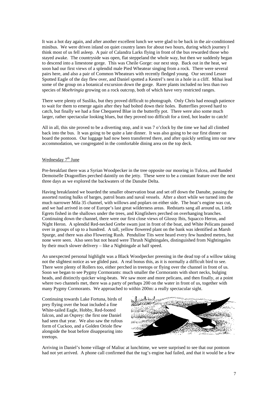It was a hot day again, and after another excellent lunch we were glad to be back in the air-conditioned minibus. We were driven inland on quiet country lanes for about two hours, during which journey I think most of us fell asleep. A pair of Calandra Larks flying in front of the bus rewarded those who stayed awake. The countryside was open, flat steppeland the whole way, but then we suddenly began to descend into a limestone gorge. This was Cheile Gorge: our next stop. Back out in the heat, we soon had our first views of a splendid male Pied Wheatear singing from a rock. There were several pairs here, and also a pair of Common Wheatears with recently fledged young. Our second Lesser Spotted Eagle of the day flew over, and Daniel spotted a Kestrel's nest in a hole in a cliff. Mihai lead some of the group on a botanical excursion down the gorge. Rarer plants included no less than two species of *Moehringia* growing on a rock outcrop, both of which have very restricted ranges.

There were plenty of Susliks, but they proved difficult to photograph. Only Chris had enough patience to wait for them to emerge again after they had bolted down their holes. Butterflies proved hard to catch, but finally we had a fine Chequered Blue in the butterfly pot. There were also some much larger, rather spectacular looking blues, but they proved too difficult for a tired, hot leader to catch!

All in all, this site proved to be a diverting stop, and it was 7 o'clock by the time we had all climbed back into the bus. It was going to be quite a late dinner. It was also going to be our first dinner on board the pontoon. Our luggage had now been transferred there, and after quickly settling into our new accommodation, we congregated in the comfortable dining area on the top deck.

# Wednesday  $7<sup>th</sup>$  June

Pre-breakfast there was a Syrian Woodpecker in the tree opposite our mooring in Tulcea, and Banded Demoiselle Dragonflies perched daintily on the jetty. These were to be a constant feature over the next three days as we explored the backwaters of the Danube Delta.

Having breakfasted we boarded the smaller observation boat and set off down the Danube, passing the assorted rusting hulks of barges, patrol boats and naval vessels. After a short while we turned into the much narrower Mila 35 channel, with willows and poplars on either side. The boat's engine was cut, and we had arrived in one of Europe's last great wilderness areas. Redstarts sang all around us, Little Egrets fished in the shallows under the trees, and Kingfishers perched on overhanging branches. Continuing down the channel, there were our first close views of Glossy Ibis, Squacco Heron, and Night Heron. A splendid Red-necked Grebe swam just in front of the boat, and White Pelicans passed over in groups of up to a hundred. A tall, yellow flowered plant on the bank was identified as Marsh Spurge, and there was also Flowering Rush. Penduline Tits were heard every few hundred metres, but none were seen. Also seen but not heard were Thrush Nightingales, distinguished from Nightingales by their much slower delivery – like a Nightingale at half speed.

An unexpected personal highlight was a Black Woodpecker preening in the dead top of a willow taking not the slightest notice as we glided past. A real bonus this, as it is normally a difficult bird to see. There were plenty of Rollers too, either perched in treetops or flying over the channel in front of us. Soon we began to see Pygmy Cormorants: much smaller the Cormorants with short necks, bulging heads, and distinctly quicker wing-beats. We saw more and more pelicans, and then finally, at a point where two channels met, there was a party of perhaps 200 on the water in front of us, together with many Pygmy Cormorants. We approached to within 200m: a really spectacular sight.

Continuing towards Lake Fortuna, birds of prey flying over the boat included a fine White-tailed Eagle, Hobby, Red-footed falcon, and an Osprey: the first one Daniel had seen that year. We also saw the rufous form of Cuckoo, and a Golden Oriole flew alongside the boat before disappearing into treetops.

الايبللطليلاد  $\sim$  NW W  $\ell$ 

Arriving in Daniel's home village of Maliuc at lunchtime, we were surprised to see that our pontoon had not yet arrived. A phone call confirmed that the tug's engine had failed, and that it would be a few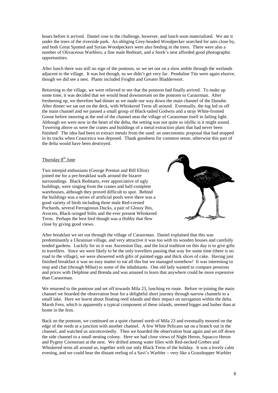hours before it arrived. Daniel rose to the challenge, however, and lunch soon materialised. We ate it under the trees of the riverside park. An obliging Grey-headed Woodpecker searched for ants close by, and both Great Spotted and Syrian Woodpeckers were also feeding in the trees. There were also a number of Olivaceous Warblers, a fine male Redstart, and a Stork's nest afforded good photographic opportunities.

After lunch there was still no sign of the pontoon, so we set out on a slow amble through the wetlands adjacent to the village. It was hot though, so we didn't get very far. Penduline Tits were again elusive, though we did see a nest. Plants included Frogbit and Greater Bladderwort.

Returning to the village, we were relieved to see that the pontoon had finally arrived. To make up some time, it was decided that we would head downstream on the pontoon to Caraorman. After freshening up, we therefore had dinner as we made our way down the main channel of the Danube. After dinner we sat out on the deck, with Whiskered Terns all around. Eventually, the tug led us off the main channel and we passed a small group of Black-tailed Godwits and a stray White-fronted Goose before mooring at the end of the channel near the village of Caraorman itself in failing light. Although we were now in the heart of the delta, the setting was not quite so idyllic is it might sound. Towering above us were the cranes and buildings of a metal extraction plant that had never been finished! The idea had been to extract metals from the sand: an uneconomic proposal that had stopped in its tracks when Ceaucescu was deposed. Thank goodness for common sense, otherwise this part of the delta would have been destroyed.

# Thursday  $8<sup>th</sup>$  June

Two intrepid enthusiasts (George Preston and Bill Elliot) joined me for a pre-breakfast walk around the bizarre surroundings. Black Redstarts, ever appreciative of ugly buildings, were singing from the cranes and half-complete warehouses, although they proved difficult to spot. Behind the buildings was a series of artificial pools were there was a good variety of birds including three male Red-crested Pochards, several Ferruginous Ducks, a pair of Glossy Ibis, Avocets, Black-winged Stilts and the ever present Whiskered Terns. Perhaps the best bird though was a Hobby that flew close by giving good views.



After breakfast we set out through the village of Caraorman. Daniel explained that this was predominantly a Ukrainian village, and very attractive it was too with its wooden houses and carefully tended gardens. Luckily for us it was Ascension Day, and the local tradition on this day is to give gifts to travellers. Since we were likely to be the only travellers passing that way for some time (there is no road to the village), we were showered with gifts of painted eggs and thick slices of cake. Having just finished breakfast it was no easy matter to eat all this but we managed somehow! It was interesting to stop and chat (through Mihai) to some of the inhabitants. One old lady wanted to compare pensions and prices with Delphine and Brenda and was amazed to learn that anywhere could be more expensive than Caraorman.

We returned to the pontoon and set off towards Mila 23, lunching en route. Before re-joining the main channel we boarded the observation boat for a delightful short journey through narrow channels to a small lake. Here we learnt about floating reed islands and their impact on navigation within the delta. Marsh Fern, which is apparently a typical component of these islands, seemed bigger and lusher than at home in the fens.

Back on the pontoon, we continued on a quiet channel north of Mila 23 and eventually moored on the edge of the reeds at a junction with another channel. A few White Pelicans sat on a branch out in the channel, and watched us unconcernedly. Then we boarded the observation boat again and set off down the side channel to a small nesting colony. Here we had close views of Night Heron, Squacco Heron and Pygmy Cormorant at the nest. We drifted among water lilies with Red-necked Grebes and Whiskered terns all around us, together with our only Black Terns of the holiday. It was a lovely calm evening, and we could hear the distant reeling of a Savi's Warbler – very like a Grasshopper Warbler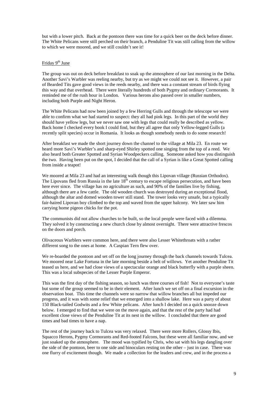but with a lower pitch. Back at the pontoon there was time for a quick beer on the deck before dinner. The White Pelicans were still perched on their branch, a Penduline Tit was still calling from the willow to which we were moored, and we still couldn't see it!

## Friday 9<sup>th</sup> June

The group was out on deck before breakfast to soak up the atmosphere of our last morning in the Delta. Another Savi's Warbler was reeling nearby, but try as we might we could not see it. However, a pair of Bearded Tits gave good views in the reeds nearby, and there was a constant stream of birds flying this way and that overhead. There were literally hundreds of both Pygmy and ordinary Cormorants. It reminded me of the rush hour in London. Various herons also passed over in smaller numbers, including both Purple and Night Heron.

The White Pelicans had now been joined by a few Herring Gulls and through the telescope we were able to confirm what we had started to suspect: they all had pink legs. In this part of the world they should have yellow legs, but we never saw one with legs that could really be described as yellow. Back home I checked every book I could find, but they all agree that only Yellow-legged Gulls (a recently split species) occur in Romania. It looks as though somebody needs to do some research!

After breakfast we made the short journey down the channel to the village at Mila 23. En route we heard more Savi's Warbler's and sharp-eyed Shirley spotted one singing from the top of a reed. We also heard both Greater Spotted and Syrian Woodpeckers calling. Someone asked how you distinguish the two. Having been put on the spot, I decided that the call of a Syrian is like a Great Spotted calling from inside a teapot!

We moored at Mila 23 and had an interesting walk though this Lipovan village (Russian Orthodox). The Lipovans fled from Russia in the late  $18<sup>th</sup>$  century to escape religious persecution, and have been here ever since. The village has no agriculture as such, and 90% of the families live by fishing, although there are a few cattle. The old wooden church was destroyed during an exceptional flood, although the altar and domed wooden tower still stand. The tower looks very unsafe, but a typically fair-haired Lipovan boy climbed to the top and waved from the upper balcony. We later saw him carrying home pigeon chicks for the pot.

The communists did not allow churches to be built, so the local people were faced with a dilemma. They solved it by constructing a new church close by almost overnight. There were attractive frescos on the doors and porch.

Olivaceous Warblers were common here, and there were also Lesser Whitethroats with a rather different song to the ones at home. A Caspian Tern flew over.

We re-boarded the pontoon and set off on the long journey through the back channels towards Tulcea. We moored near Lake Fortuna in the late morning beside a belt of willows. Yet another Penduline Tit teased us here, and we had close views of a spectacular orange and black butterfly with a purple sheen. This was a local subspecies of the Lesser Purple Emperor.

This was the first day of the fishing season, so lunch was three courses of fish! Not to everyone's taste but some of the group seemed to be in their element. After lunch we set off on a final excursion in the observation boat. This time the channels were so narrow that willow branches all but impeded our progress, and it was with some relief that we emerged into a shallow lake. Here was a party of about 150 Black-tailed Godwits and a few White pelicans. After lunch I decided on a quick snooze down below. I emerged to find that we were on the move again, and that the rest of the party had had excellent close views of the Penduline Tit at its nest in the willow. I concluded that there are good times and bad times to have a nap.

The rest of the journey back to Tulcea was very relaxed. There were more Rollers, Glossy Ibis, Squacco Herons, Pygmy Cormorants and Red-footed Falcons, but these were all familiar now, and we just soaked up the atmosphere. The mood was typified by Chris, who sat with his legs dangling over the side of the pontoon, beer to one side and binoculars resting on the other – just in case. There was one flurry of excitement though. We made a collection for the leaders and crew, and in the process a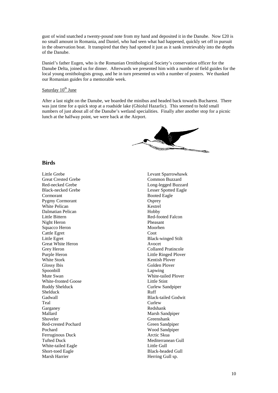gust of wind snatched a twenty-pound note from my hand and deposited it in the Danube. Now £20 is no small amount in Romania, and Daniel, who had seen what had happened, quickly set off in pursuit in the observation boat. It transpired that they had spotted it just as it sank irretrievably into the depths of the Danube.

Daniel's father Eugen, who is the Romanian Ornithological Society's conservation officer for the Danube Delta, joined us for dinner. Afterwards we presented him with a number of field guides for the local young ornithologists group, and he in turn presented us with a number of posters. We thanked our Romanian guides for a memorable week.

# Saturday  $10^{th}$  June

After a last night on the Danube, we boarded the minibus and headed back towards Bucharest. There was just time for a quick stop at a roadside lake (Ghiolul Hazarlic). This seemed to hold small numbers of just about all of the Danube's wetland specialities. Finally after another stop for a picnic lunch at the halfway point, we were back at the Airport.

# **Birds**

Little Grebe Great Crested Grebe Red-necked Grebe Black-necked Grebe Cormorant Pygmy Cormorant White Pelican Dalmatian Pelican Little Bittern Night Heron Squacco Heron Cattle Egret Little Egret Great White Heron Grey Heron Purple Heron White Stork Glossy Ibis Spoonbill Mute Swan White-fronted Goose Ruddy Shelduck Shelduck Gadwall Teal Garganey Mallard Shoveler Red-crested Pochard Pochard Ferruginous Duck Tufted Duck White-tailed Eagle Short-toed Eagle Marsh Harrier

Levant Sparrowhawk Common Buzzard Long-legged Buzzard Lesser Spotted Eagle Booted Eagle **Osprey** Kestrel Hobby Red-footed Falcon Pheasant Moorhen **Coot** Black-winged Stilt Avocet Collared Pratincole Little Ringed Plover Kentish Plover Golden Plover Lapwing White-tailed Plover Little Stint Curlew Sandpiper Ruff Black-tailed Godwit Curlew Redshank Marsh Sandpiper Greenshank Green Sandpiper Wood Sandpiper Arctic Skua Mediterranean Gull Little Gull Black-headed Gull Herring Gull sp.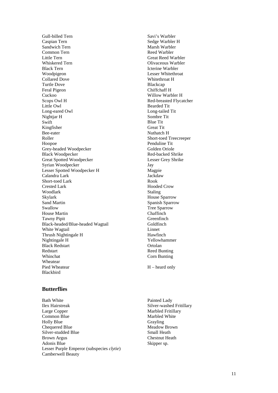Gull-billed Tern Caspian Tern Sandwich Tern Common Tern Little Tern Whiskered Tern Black Tern Woodpigeon Collared Dove Turtle Dove Feral Pigeon Cuckoo Scops Owl H Little Owl Long-eared Owl Nightjar H **Swift** Kingfisher Bee-eater Roller Hoopoe Grey-headed Woodpecker Black Woodpecker Great Spotted Woodpecker Syrian Woodpecker Lesser Spotted Woodpecker H Calandra Lark Short-toed Lark Crested Lark Woodlark Skylark Sand Martin Swallow House Martin Tawny Pipit Black-headed/Blue-headed Wagtail White Wagtail Thrush Nightingale H Nightingale H Black Redstart Redstart Whinchat Wheatear Pied Wheatear Blackbird

Savi's Warbler Sedge Warbler H Marsh Warbler Reed Warbler Great Reed Warbler Olivaceous Warbler Icterine Warbler Lesser Whitethroat Whitethroat H Blackcap Chiffchaff H Willow Warbler H Red-breasted Flycatcher Bearded Tit Long-tailed Tit Sombre Tit Blue Tit Great Tit Nuthatch H Short-toed Treecreeper Penduline Tit Golden Oriole Red-backed Shrike Lesser Grey Shrike Jay Magpie **Jackdaw** Rook Hooded Crow Staling House Sparrow Spanish Sparrow Tree Sparrow Chaffinch **Greenfinch** Goldfinch Linnet Hawfinch Yellowhammer Ortolan Reed Bunting Corn Bunting

H – heard only

# **Butterflies**

- Bath White Ilex Hairstreak Large Copper Common Blue Holly Blue Chequered Blue Silver-studded Blue Brown Argus Adonis Blue Lesser Purple Emperor (subspecies *clytie* ) Camberwell Beauty
- Painted Lady Silver-washed Fritillary Marbled Fritillary Marbled White Grayling Meadow Brown Small Heath Chestnut Heath Skipper sp.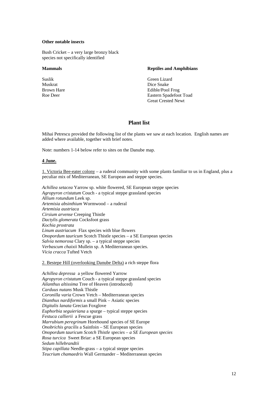#### **Other notable insects**

Bush Cricket – a very large bronzy black species not specifically identified

#### **Mammals**

Suslik Muskrat Brown Hare Roe Deer

#### **Reptiles and Amphibians**

Green Lizard Dice Snake Edible/Pool Frog Eastern Spadefoot Toad Great Crested Newt

# **Plant list**

Mihai Petrescu provided the following list of the plants we saw at each location. English names are added where available, together with brief notes.

Note: numbers 1-14 below refer to sites on the Danube map.

## **4 June.**

1. Victoria Bee-eater colony – a ruderal community with some plants familiar to us in England, plus a peculiar mix of Mediterranean, SE European and steppe species.

*Achillea setacea* Yarrow sp. white flowered, SE European steppe species *Agropyron cristatum* Couch - a typical steppe grassland species *Allium rotundum* Leek sp. *Artemisia absinthium* Wormwood – a ruderal *Artemisia austriaca Cirsium arvense* Creeping Thistle *Dactylis glomerata* Cocksfoot grass *Kochia prostrata Linum austriacum* Flax species with blue flowers *Onopordum tauricum* Scotch Thistle species – a SE European species *Salvia nemorosa* Clary sp. – a typical steppe species *Verbascum chaixii* Mullein sp. A Mediterranean species. *Vicia cracca* Tufted Vetch

2. Bestepe Hill (overlooking Danube Delta) a rich steppe flora

*Achillea depressa* a yellow flowered Yarrow *Agropyron cristatum* Couch - a typical steppe grassland species *Ailanthus altissima* Tree of Heaven (introduced) *Carduus nutans* Musk Thistle *Coronilla varia* Crown Vetch – Mediterranean species *Dianthus nardiformis* a small Pink – Asiatic species *Digitalis lanata* Grecian Foxglove *Euphorbia seguieriana* a spurge – typical steppe species *Festuca callierii* a Fescue grass *Marrubium peregrinum* Horehound species of SE Europe *Onobrichis gracilis* a Sainfoin – SE European species *Onopordum tauricum Scotch Thistle species – a SE European species Rosa turcica* Sweet Briar: a SE European species *Sedum hillebrandtii Stipa capillata* Needle-grass – a typical steppe species *Teucrium chamaedris* Wall Germander – Mediterranean species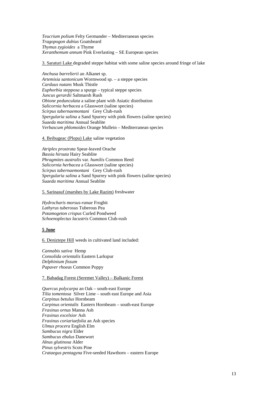*Teucrium polium* Felty Germander – Mediterranean species *Tragopogon dubius* Goatsbeard *Thymus zygioides* a Thyme *Xeranthemum annum* Pink Everlasting – SE European species

3. Saraturi Lake degraded steppe habitat with some saline species around fringe of lake

*Anchusa barrelierii* an Alkanet sp. *Artemisia santonicum* Wormwood sp. – a steppe species *Carduus nutans* Musk Thistle *Euphorbia stepposa* a spurge – typical steppe species *Juncus gerardii* Saltmarsh Rush *Obione pedunculata* a saline plant with Asiatic distribution *Salicornia herbacea* a Glasswort (saline species) *Scirpus tabernaemontani* Grey Club-rush *Spergularia salina* a Sand Spurrey with pink flowers (saline species) *Suaeda maritima* Annual Seablite *Verbascum phlomoides* Orange Mullein – Mediterranean species

4. Beibugeac (Plopu) Lake saline vegetation

*Atriplex prostrata* Spear-leaved Orache *Bassia hirsuta* Hairy Seablite *Phragmites australis* var. *humilis* Common Reed *Salicornia herbacea* a Glasswort (saline species) *Scirpus tabernaemontani* Grey Club-rush *Spergularia salina* a Sand Spurrey with pink flowers (saline species) *Suaeda maritima* Annual Seablite

5. Sarinasuf (marshes by Lake Razim) freshwater

*Hydrocharis morsus-ranae* Frogbit *Lathyrus tuberosus* Tuberous Pea *Potamogeton crispus* Curled Pondweed *Schoenoplectus lacustris* Common Club-rush

## **5 June**

6. Deniztepe Hill weeds in cultivated land included:

*Cannabis sativa* Hemp *Consolida orientalis* Eastern Larkspur *Delphinium fissum Papaver rhoeas* Common Poppy

#### 7. Babadag Forest (Seremet Valley) – Balkanic Forest

*Quercus polycarpa* an Oak – south-east Europe *Tilia tomentosa* Silver Lime – south east Europe and Asia *Carpinus betulus* Hornbeam *Carpinus orientalis* Eastern Hornbeam – south-east Europe *Fraxinus ornus* Manna Ash *Fraxinus excelsior* Ash *Fraxinus coriariaefolia* an Ash species *Ulmus procera* English Elm *Sambucus nigra* Elder *Sambucus ebulus* Danewort *Alnus glutinosa* Alder *Pinus sylvestris* Scots Pine *Crataegus pentagyna* Five-seeded Hawthorn – eastern Europe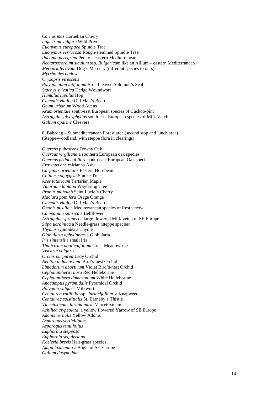*Cornus mas* Cornelian Cherry *Ligustrum vulgare* Wild Privet *Euonymus europaea* Spindle Tree *Euonymus verrucosa* Rough-stemmed Spindle Tree *Paeonia peregrina* Peony – eastern Mediterranean *Nectaroscordum siculum* ssp. *Bulgaricum* like an Allium – eastern Mediterranean *Mercurialis ovata* Dog's Mercury (different species to ours) *Myrrhoides nodosa Oryzopsis virescens Polygonatum latifolium* Broad-leaved Solomon's Seal *Stachys sylvatica* Hedge Woundwort *Humulus lupulus* Hop *Clematis vitalba* Old Man's Beard *Geum urbanum* Wood Avens *Arum orientale* south-east European species of Cuckoo-pint *Astragalus glycyphyllos* south-east European species of Milk Vetch *Galium aparine* Cleevers

8. Babadag – Submediterranean Forest area (second stop and lunch area) (Steppe-woodland, with steppe flora in clearings)

*Quercus pubescens* Downy Oak *Quercus virgiliana* a southern European oak species *Quercus pedunculiflora* south-east European Oak species *Fraxinus ornus* Manna Ash *Carpinus orientalis* Eastern Hornbeam *Cotinus coggygria* Smoke Tree *Acer tataricum* Tartarian Maple *Viburnum lantana* Wayfaring Tree *Prunus mahaleb* Saint Lucie's Cherry *Maclura pomifera* Osage Orange *Clematis vitalba* Old Man's Beard *Ononis pusilla* a Mediterranean species of Restharrow *Campanula sibirica* a Bellflower *Astragalus spruneri* a large flowered Milk-vetch of SE Europe *Stipa ucrainica* a Needle-grass (steppe species) *Thymus zygioides* a Thyme *Globularia aphyllantes* a Globularia *Iris sintensii* a small Iris *Thalictrum aquilegifolium* Great Meadow-rue *Viscaria vulgaris Orchis purpurea* Lady Orchid *Neottia nidus-avium* Bird's-nest Orchid *Limodorum abortivum* Violet Bird's-nest Orchid *Cephalanthera rubra* Red Helleborine *Cephalanthera damasonium* White Helleborine *Anacamptis pyramidalis* Pyramidal Orchid *Polygala vulgaris* Milkwort *Centaurea rutifolia* ssp. *Jurineifolium* a Knapweed *Centaurea solstitialis* St. Barnaby's Thistle *Vincetoxicum hirundinaria* Vincetoxicum *Achillea clypeolata* a yellow flowered Yarrow of SE Europe *Adonis vernalis* Yellow Adonis *Asparagus verticillatus Asparagus tenuifolius Euphorbia stepposa Euphorbia seguieriana Koeleria brevis* Hair-grass species *Ajuga laxmannii* a Bugle of SE Europe *Galium dasypodum*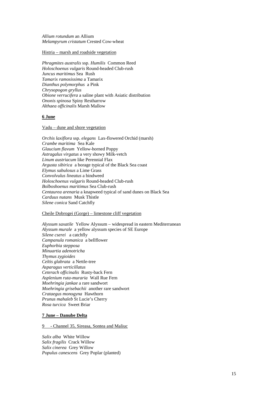*Allium rotundum* an Allium *Melampyrum cristatum* Crested Cow-wheat

#### Histria – marsh and roadside vegetation

*Phragmites australis* ssp. *Humilis* Common Reed *Holoschoenus vulgaris* Round-headed Club-rush *Juncus maritimus* Sea Rush *Tamarix ramosissima* a Tamarix *Dianthus polymorphus* a Pink *Chrysopogon gryllus Obione verrucifera* a saline plant with Asiatic distribution *Ononis spinosa* Spiny Restharrow *Althaea officinalis* Marsh Mallow

#### **6 June**

#### Vadu – dune and shore vegetation

*Orchis laxiflora* ssp. *elegans* Lax-flowered Orchid (marsh) *Crambe maritima* Sea Kale *Glaucium flavum* Yellow-horned Poppy *Astragalus virgatus* a very showy Milk-vetch *Linum austriacum* like Perennial Flax *Argusta sibirica* a borage typical of the Black Sea coast *Elymus sabulosus* a Lime Grass *Convolvulus lineatus* a bindweed *Holoschoenus vulgaris* Round-headed Club-rush *Bolboshoenus maritimus* Sea Club-rush *Centaurea arenaria* a knapweed typical of sand dunes on Black Sea *Carduus nutans* Musk Thistle *Silene conica* Sand Catchfly

#### Cheile Dobrogei (Gorge) – limestone cliff vegetation

*Alyssum saxatile* Yellow Alyssum – widespread in eastern Mediterranean *Alyssum murale* a yellow alyssum species of SE Europe *Silene cserei* a catchfly *Campanula romanica* a bellflower *Euphorbia stepposa Minuartia adenotricha Thymus zygioides Celtis glabrata* a Nettle-tree *Asparagus verticillatus Ceterach officinalis* Rusty-back Fern *Asplenium ruta-muraria* Wall Rue Fern *Moehringia jankae* a rare sandwort *Moehringia grisebachii* another rare sandwort *Crataegus monogyna* Hawthorn *Prunus mahaleb* St Lucie's Cherry *Rosa turcica* Sweet Briar

## **7 June – Danube Delta**

#### 9 - Channel 35, Sireasa, Sontea and Maliuc

*Salix alba* White Willow *Salix fragilis* Crack Willow *Salix cinerea* Grey Willow *Populus canescens* Grey Poplar (planted)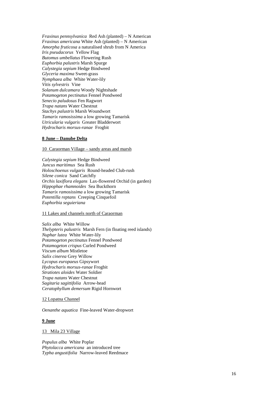*Fraxinus pennsylvanica* Red Ash (planted) – N American *Fraxinus americana* White Ash (planted) – N American *Amorpha fruticosa* a naturalised shrub from N America *Iris pseudacorus* Yellow Flag *Butomus umbellatus* Flowering Rush *Euphorbia palustris* Marsh Spurge *Calystegia sepium* Hedge Bindweed *Glyceria maxima* Sweet-grass *Nymphaea alba* White Water-lily *Vitis sylvestris* Vine *Solanum dulcamara* Woody Nightshade *Potamogeton pectinatus* Fennel Pondweed *Senecio paludosus* Fen Ragwort *Trapa natans* Water Chestnut *Stachys palustris* Marsh Woundwort *Tamarix ramosissima* a low growing Tamarisk *Utricularia vulgaris* Greater Bladderwort *Hydrocharis morsus-ranae* Frogbit

## **8 June – Danube Delta**

10 Caraorman Village – sandy areas and marsh

*Calystegia sepium* Hedge Bindweed *Juncus maritimus* Sea Rush *Holoschoenus vulgaris* Round-headed Club-rush *Silene conica* Sand Catchfly *Orchis laxiflora elegans* Lax-flowered Orchid (in garden) *Hippophae rhamnoides* Sea Buckthorn *Tamarix ramosissima* a low growing Tamarisk *Potentilla reptans* Creeping Cinquefoil *Euphorbia seguieriana*

### 11 Lakes and channels north of Caraorman

*Salix alba* White Willow *Thelypteris palustris* Marsh Fern (in floating reed islands) *Nuphar lutea* White Water-lily *Potamogeton pectinatus* Fennel Pondweed *Potamogeton crispus* Curled Pondweed *Viscum album* Mistletoe *Salix cinerea* Grey Willow *Lycopus europaeus* Gipsywort *Hydrocharis morsus-ranae* Frogbit *Stratiotes aloides* Water Soldier *Trapa natans* Water Chestnut *Sagitaria sagittifolia* Arrow-head *Ceratophyllum demersum* Rigid Hornwort

## 12 Lopatna Channel

*Oenanthe aquatica* Fine-leaved Water-dropwort

#### **9 June**

#### 13 Mila 23 Village

*Populus alba* White Poplar *Phytolacca americana* an introduced tree *Typha angustifolia* Narrow-leaved Reedmace